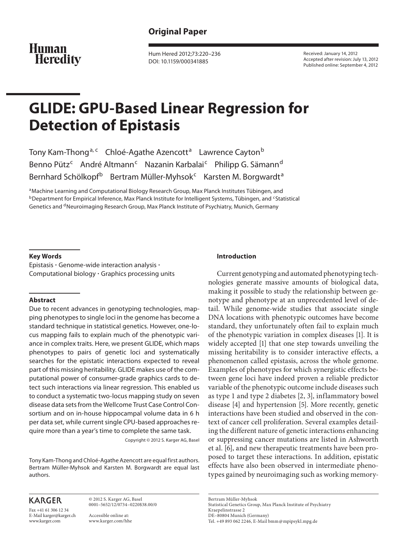## **Human Heredity**

 Hum Hered 2012;73:220–236 DOI: 10.1159/000341885

 Received: January 14, 2012 Accepted after revision: July 13, 2012 Published online: September 4, 2012

# **GLIDE: GPU-Based Linear Regression for Detection of Epistasis**

Tony Kam-Thong<sup>a, c</sup> Chloé-Agathe Azencott<sup>a</sup> Lawrence Cayton<sup>b</sup> Benno Pütz<sup>c</sup> André Altmann<sup>c</sup> Nazanin Karbalai<sup>c</sup> Philipp G. Sämann<sup>d</sup> Bernhard Schölkopf<sup>b</sup> Bertram Müller-Myhsok<sup>c</sup> Karsten M. Borgwardt<sup>a</sup>

a Machine Learning and Computational Biology Research Group, Max Planck Institutes Tübingen, and <sup>b</sup> Department for Empirical Inference, Max Planck Institute for Intelligent Systems, Tübingen, and <sup>c</sup>Statistical Genetics and <sup>d</sup> Neuroimaging Research Group, Max Planck Institute of Psychiatry, Munich, Germany

## **Key Words**

Epistasis  $\cdot$  Genome-wide interaction analysis  $\cdot$ Computational biology  $\cdot$  Graphics processing units

## **Abstract**

 Due to recent advances in genotyping technologies, mapping phenotypes to single loci in the genome has become a standard technique in statistical genetics. However, one-locus mapping fails to explain much of the phenotypic variance in complex traits. Here, we present GLIDE, which maps phenotypes to pairs of genetic loci and systematically searches for the epistatic interactions expected to reveal part of this missing heritability. GLIDE makes use of the computational power of consumer-grade graphics cards to detect such interactions via linear regression. This enabled us to conduct a systematic two-locus mapping study on seven disease data sets from the Wellcome Trust Case Control Consortium and on in-house hippocampal volume data in 6 h per data set, while current single CPU-based approaches require more than a year's time to complete the same task.

Copyright © 2012 S. Karger AG, Basel

 Tony Kam-Thong and Chloé-Agathe Azencott are equal first authors. Bertram Müller-Myhsok and Karsten M. Borgwardt are equal last authors.

## **Introduction**

 Current genotyping and automated phenotyping technologies generate massive amounts of biological data, making it possible to study the relationship between genotype and phenotype at an unprecedented level of detail. While genome-wide studies that associate single DNA locations with phenotypic outcomes have become standard, they unfortunately often fail to explain much of the phenotypic variation in complex diseases [1]. It is widely accepted [1] that one step towards unveiling the missing heritability is to consider interactive effects, a phenomenon called epistasis, across the whole genome. Examples of phenotypes for which synergistic effects between gene loci have indeed proven a reliable predictor variable of the phenotypic outcome include diseases such as type 1 and type 2 diabetes  $[2, 3]$ , inflammatory bowel disease  $[4]$  and hypertension  $[5]$ . More recently, genetic interactions have been studied and observed in the context of cancer cell proliferation. Several examples detailing the different nature of genetic interactions enhancing or suppressing cancer mutations are listed in Ashworth et al. [6], and new therapeutic treatments have been proposed to target these interactions. In addition, epistatic effects have also been observed in intermediate phenotypes gained by neuroimaging such as working memory-

## **KARGER**

Fax +41 61 306 12 34 E-Mail karger@karger.ch www.karger.com

 © 2012 S. Karger AG, Basel 0001–5652/12/0734–0220\$38.00/0

 Accessible online at: www.karger.com/hhe  Bertram Müller-Myhsok Statistical Genetics Group, Max Planck Institute of Psychiatry Kraepelinstrasse 2

DE–80804 Munich (Germany)

Tel. +49 893 062 2246, E-Mail bmm @ mpipsykl.mpg.de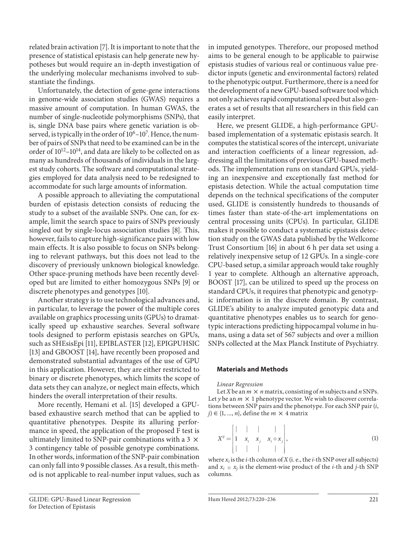related brain activation [7]. It is important to note that the presence of statistical epistasis can help generate new hypotheses but would require an in-depth investigation of the underlying molecular mechanisms involved to substantiate the findings.

 Unfortunately, the detection of gene-gene interactions in genome-wide association studies (GWAS) requires a massive amount of computation. In human GWAS, the number of single-nucleotide polymorphisms (SNPs), that is, single DNA base pairs where genetic variation is observed, is typically in the order of  $10^6$ – $10^7$ . Hence, the number of pairs of SNPs that need to be examined can be in the order of  $10^{12}$ - $10^{14}$ , and data are likely to be collected on as many as hundreds of thousands of individuals in the largest study cohorts. The software and computational strategies employed for data analysis need to be redesigned to accommodate for such large amounts of information.

 A possible approach to alleviating the computational burden of epistasis detection consists of reducing the study to a subset of the available SNPs. One can, for example, limit the search space to pairs of SNPs previously singled out by single-locus association studies [8]. This, however, fails to capture high-significance pairs with low main effects. It is also possible to focus on SNPs belonging to relevant pathways, but this does not lead to the discovery of previously unknown biological knowledge. Other space-pruning methods have been recently developed but are limited to either homozygous SNPs [9] or discrete phenotypes and genotypes [10].

 Another strategy is to use technological advances and, in particular, to leverage the power of the multiple cores available on graphics processing units (GPUs) to dramatically speed up exhaustive searches. Several software tools designed to perform epistasis searches on GPUs, such as SHEsisEpi [11], EPIBLASTER [12], EPIGPUHSIC [13] and GBOOST [14], have recently been proposed and demonstrated substantial advantages of the use of GPU in this application. However, they are either restricted to binary or discrete phenotypes, which limits the scope of data sets they can analyze, or neglect main effects, which hinders the overall interpretation of their results.

More recently, Hemani et al. [15] developed a GPUbased exhaustive search method that can be applied to quantitative phenotypes. Despite its alluring performance in speed, the application of the proposed F test is ultimately limited to SNP-pair combinations with a 3  $\times$ 3 contingency table of possible genotype combinations. In other words, information of the SNP-pair combination can only fall into 9 possible classes. As a result, this method is not applicable to real-number input values, such as

in imputed genotypes. Therefore, our proposed method aims to be general enough to be applicable to pairwise epistasis studies of various real or continuous value predictor inputs (genetic and environmental factors) related to the phenotypic output. Furthermore, there is a need for the development of a new GPU-based software tool which not only achieves rapid computational speed but also generates a set of results that all researchers in this field can easily interpret.

 Here, we present GLIDE, a high-performance GPUbased implementation of a systematic epistasis search. It computes the statistical scores of the intercept, univariate and interaction coefficients of a linear regression, addressing all the limitations of previous GPU-based methods. The implementation runs on standard GPUs, yielding an inexpensive and exceptionally fast method for epistasis detection. While the actual computation time depends on the technical specifications of the computer used, GLIDE is consistently hundreds to thousands of times faster than state-of-the-art implementations on central processing units (CPUs). In particular, GLIDE makes it possible to conduct a systematic epistasis detection study on the GWAS data published by the Wellcome Trust Consortium [16] in about 6 h per data set using a relatively inexpensive setup of 12 GPUs. In a single-core CPU-based setup, a similar approach would take roughly 1 year to complete. Although an alternative approach, BOOST [17], can be utilized to speed up the process on standard CPUs, it requires that phenotypic and genotypic information is in the discrete domain. By contrast, GLIDE's ability to analyze imputed genotypic data and quantitative phenotypes enables us to search for genotypic interactions predicting hippocampal volume in humans, using a data set of 567 subjects and over a million SNPs collected at the Max Planck Institute of Psychiatry.

## **Materials and Methods**

## Linear Regression

Let X be an  $m \times n$  matrix, consisting of m subjects and n SNPs. Let y be an  $m \times 1$  phenotype vector. We wish to discover correlations between SNP pairs and the phenotype. For each SNP pair  $(i, j)$  $j$ )  $\in$  {1, ..., *n*}, define the *m*  $\times$  4 matrix

$$
X^{ij} = \begin{bmatrix} | & | & | & | \\ 1 & x_i & x_j & x_i \circ x_j \\ | & | & | & | & | \end{bmatrix},
$$
 (1)

where  $x_i$  is the *i*-th column of  $X$  (i. e., the *i*-th SNP over all subjects) and  $x_i \circ x_j$  is the element-wise product of the *i*-th and *j*-th SNP columns.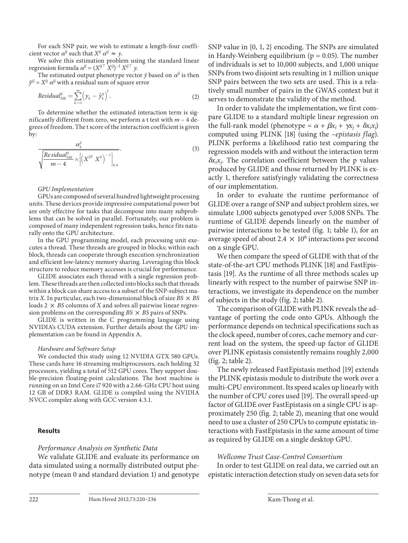For each SNP pair, we wish to estimate a length-four coefficient vector  $\alpha^{ij}$  such that  $X^{ij}$   $\alpha^{ij} \approx y$ .

 We solve this estimation problem using the standard linear regression formula  $\alpha^{ij} = (X^{ij\top} X^{ij})^{-1} X^{ij\top} y$ .

The estimated output phenotype vector  $\hat{y}$  based on  $\alpha^{ij}$  is then  $\hat{y}^{ij} = X^{ij} \alpha^{ij}$  with a residual sum of square error

$$
Residual_{SSE}^{ij} = \sum_{k=1}^{m} \left(\gamma_k - \hat{\gamma}_k^{ij}\right)^2.
$$
 (2)

 To determine whether the estimated interaction term is significantly different from zero, we perform a t test with  $m - 4$  degrees of freedom. The t score of the interaction coefficient is given by:

$$
\frac{\alpha_4^{ij}}{\sqrt{\frac{Residual_{SSE}^{ij}}{m-4}} \times \left[ \left( X^{ij} \right)^{-1} \right]_{4,4}}.
$$
\n(3)

#### GPU Implementation

 GPUs are composed of several hundred lightweight processing units. These devices provide impressive computational power but are only effective for tasks that decompose into many subproblems that can be solved in parallel. Fortunately, our problem is composed of many independent regression tasks, hence fits naturally onto the GPU architecture.

 In the GPU programming model, each processing unit executes a thread. These threads are grouped in blocks; within each block, threads can cooperate through execution synchronization and efficient low-latency memory sharing. Leveraging this block structure to reduce memory accesses is crucial for performance.

 GLIDE associates each thread with a single regression problem. These threads are then collected into blocks such that threads within a block can share access to a subset of the SNP-subject matrix X. In particular, each two-dimensional block of size  $BS \times BS$ loads  $2 \times BS$  columns of X and solves all pairwise linear regression problems on the corresponding  $BS \times BS$  pairs of SNPs.

 GLIDE is written in the C programming language using NVIDIA's CUDA extension. Further details about the GPU implementation can be found in Appendix A.

## Hardware and Software Setup

 We conducted this study using 12 NVIDIA GTX 580 GPUs. These cards have 16 streaming multiprocessors, each holding 32 processors, yielding a total of 512 GPU cores. They support double-precision floating-point calculations. The host machine is running on an Intel Core i7 920 with a 2.66-GHz CPU host using 12 GB of DDR3 RAM. GLIDE is compiled using the NVIDIA NVCC compiler along with GCC version 4.3.1.

## **Results**

## Performance Analysis on Synthetic Data

 We validate GLIDE and evaluate its performance on data simulated using a normally distributed output phenotype (mean 0 and standard deviation 1) and genotype SNP value in {0, 1, 2} encoding. The SNPs are simulated in Hardy-Weinberg equilibrium ( $p = 0.05$ ). The number of individuals is set to 10,000 subjects, and 1,000 unique SNPs from two disjoint sets resulting in 1 million unique SNP pairs between the two sets are used. This is a relatively small number of pairs in the GWAS context but it serves to demonstrate the validity of the method.

 In order to validate the implementation, we first compare GLIDE to a standard multiple linear regression on the full-rank model (phenotype =  $\alpha + \beta x_i + \gamma x_j + \delta x_i x_j$ ) computed using PLINK [18] (using the -epistasis flag). PLINK performs a likelihood ratio test comparing the regression models with and without the interaction term  $\delta x_i x_i$ . The correlation coefficient between the p values produced by GLIDE and those returned by PLINK is exactly 1, therefore satisfyingly validating the correctness of our implementation.

 In order to evaluate the runtime performance of GLIDE over a range of SNP and subject problem sizes, we simulate 1,000 subjects genotyped over 5,008 SNPs. The runtime of GLIDE depends linearly on the number of pairwise interactions to be tested (fig. 1; table 1), for an average speed of about 2.4  $\times$  10<sup>6</sup> interactions per second on a single GPU.

 We then compare the speed of GLIDE with that of the state-of-the-art CPU methods PLINK [18] and FastEpistasis [19]. As the runtime of all three methods scales up linearly with respect to the number of pairwise SNP interactions, we investigate its dependence on the number of subjects in the study (fig. 2; table 2).

 The comparison of GLIDE with PLINK reveals the advantage of porting the code onto GPUs. Although the performance depends on technical specifications such as the clock speed, number of cores, cache memory and current load on the system, the speed-up factor of GLIDE over PLINK epistasis consistently remains roughly 2,000  $(fig. 2; table 2).$ 

The newly released FastEpistasis method [19] extends the PLINK epistasis module to distribute the work over a multi-CPU environment. Its speed scales up linearly with the number of CPU cores used [19]. The overall speed-up factor of GLIDE over FastEpistasis on a single CPU is approximately 250 (fig. 2; table 2), meaning that one would need to use a cluster of 250 CPUs to compute epistatic interactions with FastEpistasis in the same amount of time as required by GLIDE on a single desktop GPU.

#### Wellcome Trust Case-Control Consortium

 In order to test GLIDE on real data, we carried out an epistatic interaction detection study on seven data sets for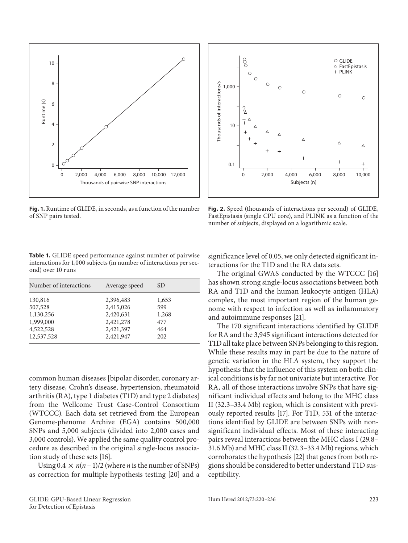

 **Fig. 1.** Runtime of GLIDE, in seconds, as a function of the number of SNP pairs tested.



 **Fig. 2.** Speed (thousands of interactions per second) of GLIDE, FastEpistasis (single CPU core), and PLINK as a function of the number of subjects, displayed on a logarithmic scale.

 **Table 1.** GLIDE speed performance against number of pairwise interactions for 1,000 subjects (in number of interactions per second) over 10 runs

| Number of interactions | Average speed | SD.   |
|------------------------|---------------|-------|
| 130,816                | 2,396,483     | 1,653 |
| 507,528                | 2,415,026     | 599   |
| 1,130,256              | 2,420,631     | 1,268 |
| 1,999,000              | 2,421,278     | 477   |
| 4,522,528              | 2,421,397     | 464   |
| 12,537,528             | 2,421,947     | 202   |

common human diseases [bipolar disorder, coronary artery disease, Crohn's disease, hypertension, rheumatoid arthritis (RA), type 1 diabetes (T1D) and type 2 diabetes] from the Wellcome Trust Case-Control Consortium (WTCCC). Each data set retrieved from the European Genome-phenome Archive (EGA) contains 500,000 SNPs and 5,000 subjects (divided into 2,000 cases and 3,000 controls). We applied the same quality control procedure as described in the original single-locus association study of these sets [16].

Using  $0.4 \times n(n-1)/2$  (where *n* is the number of SNPs) as correction for multiple hypothesis testing [20] and a significance level of 0.05, we only detected significant interactions for the T1D and the RA data sets.

 The original GWAS conducted by the WTCCC [16] has shown strong single-locus associations between both RA and T1D and the human leukocyte antigen (HLA) complex, the most important region of the human genome with respect to infection as well as inflammatory and autoimmune responses [21].

 The 170 significant interactions identified by GLIDE for RA and the 3,945 significant interactions detected for T1D all take place between SNPs belonging to this region. While these results may in part be due to the nature of genetic variation in the HLA system, they support the hypothesis that the influence of this system on both clinical conditions is by far not univariate but interactive. For RA, all of those interactions involve SNPs that have significant individual effects and belong to the MHC class II (32.3–33.4 Mb) region, which is consistent with previously reported results [17]. For T1D, 531 of the interactions identified by GLIDE are between SNPs with nonsignificant individual effects. Most of these interacting pairs reveal interactions between the MHC class I (29.8– 31.6 Mb) and MHC class II (32.3–33.4 Mb) regions, which corroborates the hypothesis [22] that genes from both regions should be considered to better understand T1D susceptibility.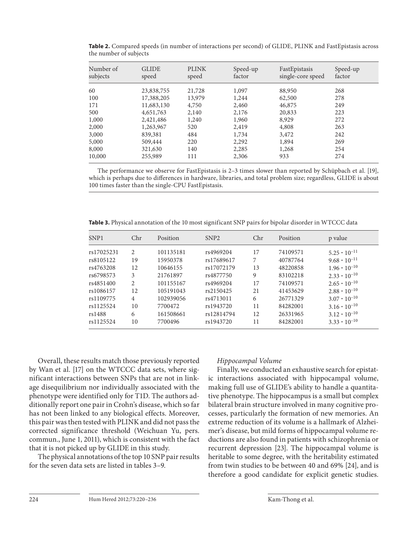| Number of<br>subjects | <b>GLIDE</b><br>speed | <b>PLINK</b><br>speed | Speed-up<br>factor | FastEpistasis<br>single-core speed | Speed-up<br>factor |
|-----------------------|-----------------------|-----------------------|--------------------|------------------------------------|--------------------|
| 60                    | 23,838,755            | 21,728                | 1,097              | 88,950                             | 268                |
| 100                   | 17,388,205            | 13,979                | 1,244              | 62,500                             | 278                |
| 171                   | 11,683,130            | 4,750                 | 2,460              | 46,875                             | 249                |
| 500                   | 4,651,763             | 2,140                 | 2,176              | 20,833                             | 223                |
| 1,000                 | 2,421,486             | 1,240                 | 1,960              | 8,929                              | 272                |
| 2,000                 | 1,263,967             | 520                   | 2,419              | 4,808                              | 263                |
| 3,000                 | 839,381               | 484                   | 1,734              | 3,472                              | 242                |
| 5,000                 | 509,444               | 220                   | 2,292              | 1,894                              | 269                |
| 8,000                 | 321,630               | 140                   | 2,285              | 1,268                              | 254                |
| 10,000                | 255,989               | 111                   | 2,306              | 933                                | 274                |

 **Table 2.** Compared speeds (in number of interactions per second) of GLIDE, PLINK and FastEpistasis across the number of subjects

The performance we observe for FastEpistasis is 2-3 times slower than reported by Schüpbach et al. [19], which is perhaps due to differences in hardware, libraries, and total problem size; regardless, GLIDE is about 100 times faster than the single-CPU FastEpistasis.

 **Table 3.** Physical annotation of the 10 most significant SNP pairs for bipolar disorder in WTCCC data

| SNP <sub>1</sub> | Chr            | Position  | SNP <sub>2</sub> | Chr | Position | p value               |
|------------------|----------------|-----------|------------------|-----|----------|-----------------------|
| rs17025231       | $\mathfrak{D}$ | 101135181 | rs4969204        | 17  | 74109571 | $5.25 \cdot 10^{-11}$ |
| rs8105122        | 19             | 15950378  | rs17689617       | 7   | 40787764 | $9.68 \cdot 10^{-11}$ |
| rs4763208        | 12             | 10646155  | rs17072179       | 13  | 48220858 | $1.96 \cdot 10^{-10}$ |
| rs6798573        | 3              | 21761897  | rs4877750        | 9   | 83102218 | $2.33 \cdot 10^{-10}$ |
| rs4851400        | $\mathfrak{D}$ | 101155167 | rs4969204        | 17  | 74109571 | $2.65 \cdot 10^{-10}$ |
| rs1086157        | 12             | 105191043 | rs2150425        | 21  | 41453629 | $2.88 \cdot 10^{-10}$ |
| rs1109775        | 4              | 102939056 | rs4713011        | 6   | 26771329 | $3.07 \cdot 10^{-10}$ |
| rs1125524        | 10             | 7700472   | rs1943720        | 11  | 84282001 | $3.16 \cdot 10^{-10}$ |
| rs1488           | 6              | 161508661 | rs12814794       | 12  | 26331965 | $3.12 \cdot 10^{-10}$ |
| rs1125524        | 10             | 7700496   | rs1943720        | 11  | 84282001 | $3.33 \cdot 10^{-10}$ |

 Overall, these results match those previously reported by Wan et al. [17] on the WTCCC data sets, where significant interactions between SNPs that are not in linkage disequilibrium nor individually associated with the phenotype were identified only for T1D. The authors additionally report one pair in Crohn's disease, which so far has not been linked to any biological effects. Moreover, this pair was then tested with PLINK and did not pass the corrected significance threshold (Weichuan Yu, pers. commun., June 1, 2011), which is consistent with the fact that it is not picked up by GLIDE in this study.

 The physical annotations of the top 10 SNP pair results for the seven data sets are listed in tables 3-9.

## Hippocampal Volume

 Finally, we conducted an exhaustive search for epistatic interactions associated with hippocampal volume, making full use of GLIDE's ability to handle a quantitative phenotype. The hippocampus is a small but complex bilateral brain structure involved in many cognitive processes, particularly the formation of new memories. An extreme reduction of its volume is a hallmark of Alzheimer's disease, but mild forms of hippocampal volume reductions are also found in patients with schizophrenia or recurrent depression [23]. The hippocampal volume is heritable to some degree, with the heritability estimated from twin studies to be between 40 and 69% [24], and is therefore a good candidate for explicit genetic studies.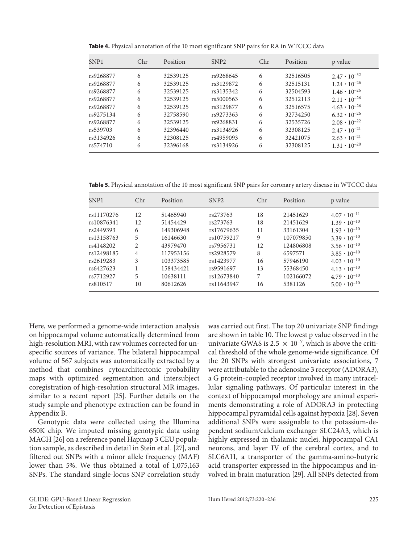| SNP1      | Chr | Position | SNP <sub>2</sub> | Chr | Position | p value               |
|-----------|-----|----------|------------------|-----|----------|-----------------------|
| rs9268877 | 6   | 32539125 | rs9268645        | 6   | 32516505 | $2.47 \cdot 10^{-32}$ |
| rs9268877 | 6   | 32539125 | rs3129872        | 6   | 32515131 | $1.24 \cdot 10^{-26}$ |
| rs9268877 | 6   | 32539125 | rs3135342        | 6   | 32504593 | $1.46 \cdot 10^{-26}$ |
| rs9268877 | 6   | 32539125 | rs5000563        | 6   | 32512113 | $2.11 \cdot 10^{-26}$ |
| rs9268877 | 6   | 32539125 | rs3129877        | 6   | 32516575 | $4.63 \cdot 10^{-26}$ |
| rs9275134 | 6   | 32758590 | rs9273363        | 6   | 32734250 | $6.32 \cdot 10^{-26}$ |
| rs9268877 | 6   | 32539125 | rs9268831        | 6   | 32535726 | $2.08 \cdot 10^{-22}$ |
| rs539703  | 6   | 32396440 | rs3134926        | 6   | 32308125 | $2.47 \cdot 10^{-21}$ |
| rs3134926 | 6   | 32308125 | rs4959093        | 6   | 32421075 | $2.63 \cdot 10^{-21}$ |
| rs574710  | 6   | 32396168 | rs3134926        | 6   | 32308125 | $1.31 \cdot 10^{-20}$ |

 **Table 4.** Physical annotation of the 10 most significant SNP pairs for RA in WTCCC data

 **Table 5.** Physical annotation of the 10 most significant SNP pairs for coronary artery disease in WTCCC data

| SNP1       | Chr            | Position  | SNP <sub>2</sub> | Chr | Position  | p value               |
|------------|----------------|-----------|------------------|-----|-----------|-----------------------|
| rs11170276 | 12             | 51465940  | rs273763         | 18  | 21451629  | $4.07 \cdot 10^{-11}$ |
| rs10876341 | 12             | 51454429  | rs273763         | 18  | 21451629  | $1.39 \cdot 10^{-10}$ |
| rs2449393  | 6              | 149306948 | rs17679635       | 11  | 33161304  | $1.93 \cdot 10^{-10}$ |
| rs13158763 | 5              | 16146630  | rs10759217       | 9   | 107079850 | $3.39 \cdot 10^{-10}$ |
| rs4148202  | 2              | 43979470  | rs7956731        | 12  | 124806808 | $3.56 \cdot 10^{-10}$ |
| rs12498185 | $\overline{4}$ | 117953156 | rs2928579        | 8   | 6597571   | $3.85 \cdot 10^{-10}$ |
| rs2619283  | 3              | 103373585 | rs1423977        | 16  | 57946190  | $4.03 \cdot 10^{-10}$ |
| rs6427623  | 1              | 158434421 | rs9591697        | 13  | 55368450  | $4.13 \cdot 10^{-10}$ |
| rs7712927  | 5              | 10638111  | rs12673840       | 7   | 102166072 | $4.79 \cdot 10^{-10}$ |
| rs810517   | 10             | 80612626  | rs11643947       | 16  | 5381126   | $5.00 \cdot 10^{-10}$ |

Here, we performed a genome-wide interaction analysis on hippocampal volume automatically determined from high-resolution MRI, with raw volumes corrected for unspecific sources of variance. The bilateral hippocampal volume of 567 subjects was automatically extracted by a method that combines cytoarchitectonic probability maps with optimized segmentation and intersubject coregistration of high-resolution structural MR images, similar to a recent report [25]. Further details on the study sample and phenotype extraction can be found in Appendix B.

 Genotypic data were collected using the Illumina 650K chip. We imputed missing genotypic data using MACH [26] on a reference panel Hapmap 3 CEU population sample, as described in detail in Stein et al. [27], and filtered out SNPs with a minor allele frequency (MAF) lower than 5%. We thus obtained a total of 1,075,163 SNPs. The standard single-locus SNP correlation study was carried out first. The top 20 univariate SNP findings are shown in table 10. The lowest p value observed in the univariate GWAS is 2.5  $\times$  10<sup>-7</sup>, which is above the critical threshold of the whole genome-wide significance. Of the 20 SNPs with strongest univariate associations, 7 were attributable to the adenosine 3 receptor (ADORA3), a G protein-coupled receptor involved in many intracellular signaling pathways. Of particular interest in the context of hippocampal morphology are animal experiments demonstrating a role of ADORA3 in protecting hippocampal pyramidal cells against hypoxia [28] . Seven additional SNPs were assignable to the potassium-dependent sodium/calcium exchanger SLC24A3, which is highly expressed in thalamic nuclei, hippocampal CA1 neurons, and layer IV of the cerebral cortex, and to SLC6A11, a transporter of the gamma-amino-butyric acid transporter expressed in the hippocampus and involved in brain maturation [29]. All SNPs detected from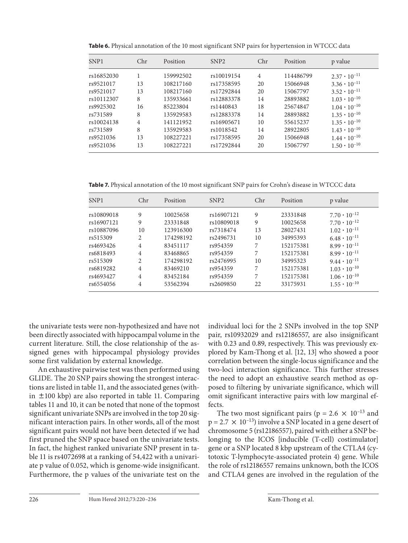| SNP <sub>1</sub> | Chr | Position  | SNP <sub>2</sub> | Chr            | Position  | p value               |
|------------------|-----|-----------|------------------|----------------|-----------|-----------------------|
| rs16852030       |     | 159992502 | rs10019154       | $\overline{4}$ | 114486799 | $2.37 \cdot 10^{-11}$ |
| rs9521017        | 13  | 108217160 | rs17358595       | 20             | 15066948  | $3.36 \cdot 10^{-11}$ |
| rs9521017        | 13  | 108217160 | rs17292844       | 20             | 15067797  | $3.52 \cdot 10^{-11}$ |
| rs10112307       | 8   | 135933661 | rs12883378       | 14             | 28893882  | $1.03 \cdot 10^{-10}$ |
| rs9925302        | 16  | 85223804  | rs1440843        | 18             | 25674847  | $1.04 \cdot 10^{-10}$ |
| rs731589         | 8   | 135929583 | rs12883378       | 14             | 28893882  | $1.35 \cdot 10^{-10}$ |
| rs10024138       | 4   | 141121952 | rs16905671       | 10             | 55615237  | $1.35 \cdot 10^{-10}$ |
| rs731589         | 8   | 135929583 | rs1018542        | 14             | 28922805  | $1.43 \cdot 10^{-10}$ |
| rs9521036        | 13  | 108227221 | rs17358595       | 20             | 15066948  | $1.44 \cdot 10^{-10}$ |
| rs9521036        | 13  | 108227221 | rs17292844       | 20             | 15067797  | $1.50 \cdot 10^{-10}$ |

 **Table 6.** Physical annotation of the 10 most significant SNP pairs for hypertension in WTCCC data

 **Table 7.** Physical annotation of the 10 most significant SNP pairs for Crohn's disease in WTCCC data

| SNP <sub>1</sub> | Chr            | Position  | SNP <sub>2</sub> | Chr | Position  | p value               |
|------------------|----------------|-----------|------------------|-----|-----------|-----------------------|
| rs10809018       | 9              | 10025658  | rs16907121       | 9   | 23331848  | $7.70 \cdot 10^{-12}$ |
| rs16907121       | 9              | 23331848  | rs10809018       | 9   | 10025658  | $7.70 \cdot 10^{-12}$ |
| rs10887096       | 10             | 123916300 | rs7318474        | 13  | 28027431  | $1.02 \cdot 10^{-11}$ |
| rs515309         | 2              | 174298192 | rs2496731        | 10  | 34995393  | $6.48 \cdot 10^{-11}$ |
| rs4693426        | $\overline{4}$ | 83451117  | rs954359         | 7   | 152175381 | $8.99 \cdot 10^{-11}$ |
| rs6818493        | 4              | 83468865  | rs954359         | 7   | 152175381 | $8.99 \cdot 10^{-11}$ |
| rs515309         | $\mathfrak{D}$ | 174298192 | rs2476995        | 10  | 34995323  | $9.44 \cdot 10^{-11}$ |
| rs6819282        | 4              | 83469210  | rs954359         | 7   | 152175381 | $1.03 \cdot 10^{-10}$ |
| rs4693427        | $\overline{4}$ | 83452184  | rs954359         | 7   | 152175381 | $1.06 \cdot 10^{-10}$ |
| rs6554056        | 4              | 53562394  | rs2609850        | 22  | 33175931  | $1.55 \cdot 10^{-10}$ |

the univariate tests were non-hypothesized and have not been directly associated with hippocampal volume in the current literature. Still, the close relationship of the assigned genes with hippocampal physiology provides some first validation by external knowledge.

 An exhaustive pairwise test was then performed using GLIDE. The 20 SNP pairs showing the strongest interactions are listed in table 11 , and the associated genes (within  $\pm 100$  kbp) are also reported in table 11. Comparing tables 11 and 10 , it can be noted that none of the topmost significant univariate SNPs are involved in the top 20 significant interaction pairs. In other words, all of the most significant pairs would not have been detected if we had first pruned the SNP space based on the univariate tests. In fact, the highest ranked univariate SNP present in table 11 is rs4072698 at a ranking of 54,422 with a univariate p value of 0.052, which is genome-wide insignificant. Furthermore, the p values of the univariate test on the

individual loci for the 2 SNPs involved in the top SNP pair, rs10932029 and rs12186557, are also insignificant with 0.23 and 0.89, respectively. This was previously explored by Kam-Thong et al. [12, 13] who showed a poor correlation between the single-locus significance and the two-loci interaction significance. This further stresses the need to adopt an exhaustive search method as opposed to filtering by univariate significance, which will omit significant interactive pairs with low marginal effects.

The two most significant pairs ( $p = 2.6 \times 10^{-13}$  and  $p = 2.7 \times 10^{-13}$  involve a SNP located in a gene desert of chromosome 5 (rs12186557), paired with either a SNP belonging to the ICOS [inducible (T-cell) costimulator] gene or a SNP located 8 kbp upstream of the CTLA4 (cytotoxic T-lymphocyte-associated protein 4) gene. While the role of rs12186557 remains unknown, both the ICOS and CTLA4 genes are involved in the regulation of the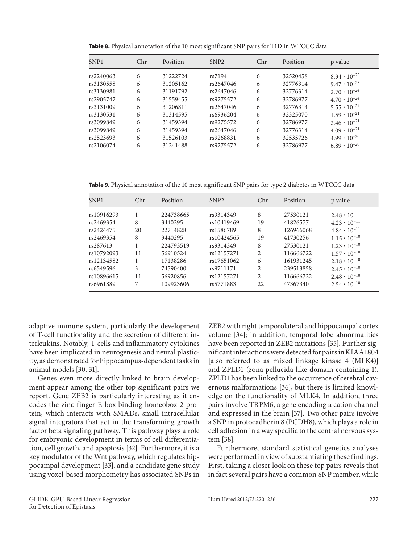| SNP <sub>1</sub> | Chr | Position | SNP <sub>2</sub> | Chr | Position | p value               |
|------------------|-----|----------|------------------|-----|----------|-----------------------|
| rs2240063        | 6   | 31222724 | rs7194           | 6   | 32520458 | $8.34 \cdot 10^{-25}$ |
| rs3130558        | 6   | 31205162 | rs2647046        | 6   | 32776314 | $9.47 \cdot 10^{-25}$ |
| rs3130981        | 6   | 31191792 | rs2647046        | 6   | 32776314 | $2.70 \cdot 10^{-24}$ |
| rs2905747        | 6   | 31559455 | rs9275572        | 6   | 32786977 | $4.70 \cdot 10^{-24}$ |
| rs3131009        | 6   | 31206811 | rs2647046        | 6   | 32776314 | $5.55 \cdot 10^{-24}$ |
| rs3130531        | 6   | 31314595 | rs6936204        | 6   | 32325070 | $1.59 \cdot 10^{-21}$ |
| rs3099849        | 6   | 31459394 | rs9275572        | 6   | 32786977 | $2.46 \cdot 10^{-21}$ |
| rs3099849        | 6   | 31459394 | rs2647046        | 6   | 32776314 | $4.09 \cdot 10^{-21}$ |
| rs2523693        | 6   | 31526103 | rs9268831        | 6   | 32535726 | $4.99 \cdot 10^{-20}$ |
| rs2106074        | 6   | 31241488 | rs9275572        | 6   | 32786977 | $6.89 \cdot 10^{-20}$ |

 **Table 8.** Physical annotation of the 10 most significant SNP pairs for T1D in WTCCC data

 **Table 9.** Physical annotation of the 10 most significant SNP pairs for type 2 diabetes in WTCCC data

| SNP <sub>1</sub> | Chr | Position  | SNP <sub>2</sub> | Chr            | Position  | p value               |
|------------------|-----|-----------|------------------|----------------|-----------|-----------------------|
| rs10916293       | 1   | 224738665 | rs9314349        | 8              | 27530121  | $2.48 \cdot 10^{-11}$ |
| rs2469354        | 8   | 3440295   | rs10419469       | 19             | 41826577  | $4.23 \cdot 10^{-11}$ |
| rs2424475        | 20  | 22714828  | rs1586789        | 8              | 126966068 | $4.84 \cdot 10^{-11}$ |
| rs2469354        | 8   | 3440295   | rs10424565       | 19             | 41730256  | $1.15 \cdot 10^{-10}$ |
| rs287613         |     | 224793519 | rs9314349        | 8              | 27530121  | $1.23 \cdot 10^{-10}$ |
| rs10792093       | 11  | 56910524  | rs12157271       | $\overline{c}$ | 116666722 | $1.57 \cdot 10^{-10}$ |
| rs12134582       |     | 17138286  | rs17651062       | 6              | 161931245 | $2.18 \cdot 10^{-10}$ |
| rs6549596        | 3   | 74590400  | rs9711171        | $\overline{c}$ | 239513858 | $2.45 \cdot 10^{-10}$ |
| rs10896615       | 11  | 56920856  | rs12157271       | 2              | 116666722 | $2.48 \cdot 10^{-10}$ |
| rs6961889        | 7   | 109923606 | rs5771883        | 22             | 47367340  | $2.54 \cdot 10^{-10}$ |

adaptive immune system, particularly the development of T-cell functionality and the secretion of different interleukins. Notably, T-cells and inflammatory cytokines have been implicated in neurogenesis and neural plasticity, as demonstrated for hippocampus-dependent tasks in animal models [30, 31].

 Genes even more directly linked to brain development appear among the other top significant pairs we report. Gene ZEB2 is particularly interesting as it encodes the zinc finger E-box-binding homeobox 2 protein, which interacts with SMADs, small intracellular signal integrators that act in the transforming growth factor beta signaling pathway. This pathway plays a role for embryonic development in terms of cell differentiation, cell growth, and apoptosis [32] . Furthermore, it is a key modulator of the Wnt pathway, which regulates hippocampal development [33], and a candidate gene study using voxel-based morphometry has associated SNPs in ZEB2 with right temporolateral and hippocampal cortex volume [34]; in addition, temporal lobe abnormalities have been reported in ZEB2 mutations [35]. Further significant interactions were detected for pairs in KIAA1804 [also referred to as mixed linkage kinase 4 (MLK4)] and ZPLD1 (zona pellucida-like domain containing 1). ZPLD1 has been linked to the occurrence of cerebral cavernous malformations [36], but there is limited knowledge on the functionality of MLK4. In addition, three pairs involve TRPM6, a gene encoding a cation channel and expressed in the brain [37]. Two other pairs involve a SNP in protocadherin 8 (PCDH8), which plays a role in cell adhesion in a way specific to the central nervous system [38].

 Furthermore, standard statistical genetics analyses were performed in view of substantiating these findings. First, taking a closer look on these top pairs reveals that in fact several pairs have a common SNP member, while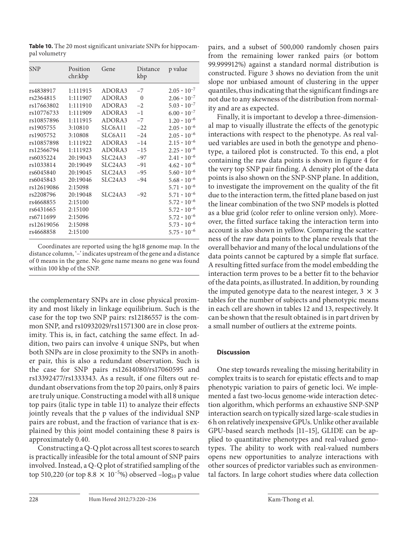**Table 10.** The 20 most significant univariate SNPs for hippocampal volumetry

| <b>SNP</b>                                                                                                                                                  | Position<br>chr:kbp                                                                                                                    | Gene                                                                           | Distance<br>kbp                                                      | p value                                                                                                                                                                                                                                                                                      |
|-------------------------------------------------------------------------------------------------------------------------------------------------------------|----------------------------------------------------------------------------------------------------------------------------------------|--------------------------------------------------------------------------------|----------------------------------------------------------------------|----------------------------------------------------------------------------------------------------------------------------------------------------------------------------------------------------------------------------------------------------------------------------------------------|
| rs4838917<br>rs2364815<br>rs17663802<br>rs10776733<br>rs10857896<br>rs1905755<br>rs1905752<br>rs10857898                                                    | 1:111915<br>1:111907<br>1:111910<br>1:111909<br>1:111915<br>3:10810<br>3:10808<br>1:111922                                             | ADORA3<br>ADORA3<br>ADORA3<br>ADORA3<br>ADORA3<br>SLC6A11<br>SLC6A11<br>ADORA3 | $-7$<br>$\Omega$<br>$-2$<br>$-1$<br>$-7$<br>$-22$<br>$-2.4$<br>$-14$ | $2.05 \cdot 10^{-7}$<br>$2.06 \cdot 10^{-7}$<br>$5.03 \cdot 10^{-7}$<br>$6.00 \cdot 10^{-7}$<br>$1.20 \cdot 10^{-6}$<br>$2.05 \cdot 10^{-6}$<br>$2.05 \cdot 10^{-6}$<br>$2.15 \cdot 10^{-6}$                                                                                                 |
| rs12566794<br>rs6035224<br>rs1033814<br>rs6045840<br>rs6045843<br>rs12619086<br>rs2208796<br>rs4668855<br>rs6431665<br>rs6711699<br>rs12619056<br>rs4668858 | 1:111923<br>20:19043<br>20:19049<br>20:19045<br>20:19046<br>2:15098<br>20:19048<br>2:15100<br>2:15100<br>2:15096<br>2:15098<br>2:15100 | ADORA3<br>SLC24A3<br>SLC24A3<br>SLC24A3<br>SLC24A3<br>SLC24A3                  | $-15$<br>$-97$<br>$-91$<br>$-95$<br>$-94$<br>$-92$                   | $2.25 \cdot 10^{-6}$<br>$2.41 \cdot 10^{-6}$<br>$4.62 \cdot 10^{-6}$<br>$5.60 \cdot 10^{-6}$<br>$5.68 \cdot 10^{-6}$<br>$5.71 \cdot 10^{-6}$<br>$5.71 \cdot 10^{-6}$<br>$5.72 \cdot 10^{-6}$<br>$5.72 \cdot 10^{-6}$<br>$5.72 \cdot 10^{-6}$<br>$5.73 \cdot 10^{-6}$<br>$5.75 \cdot 10^{-6}$ |

Coordinates are reported using the hg18 genome map. In the distance column, '–' indicates upstream of the gene and a distance of 0 means in the gene. No gene name means no gene was found within 100 kbp of the SNP.

the complementary SNPs are in close physical proximity and most likely in linkage equilibrium. Such is the case for the top two SNP pairs: rs12186557 is the common SNP, and rs10932029/rs11571300 are in close proximity. This is, in fact, catching the same effect. In addition, two pairs can involve 4 unique SNPs, but when both SNPs are in close proximity to the SNPs in another pair, this is also a redundant observation. Such is the case for SNP pairs rs12614080/rs17060595 and rs13392477/rs1333343. As a result, if one filters out redundant observations from the top 20 pairs, only 8 pairs are truly unique. Constructing a model with all 8 unique top pairs (italic type in table 11) to analyze their effects jointly reveals that the p values of the individual SNP pairs are robust, and the fraction of variance that is explained by this joint model containing these 8 pairs is approximately 0.40.

 Constructing a Q-Q plot across all test scores to search is practically infeasible for the total amount of SNP pairs involved. Instead, a Q-Q plot of stratified sampling of the top 510,220 (or top 8.8  $\times$  10<sup>-5</sup>%) observed –log<sub>10</sub> p value pairs, and a subset of 500,000 randomly chosen pairs from the remaining lower ranked pairs (or bottom 99.999912%) against a standard normal distribution is constructed. Figure 3 shows no deviation from the unit slope nor unbiased amount of clustering in the upper quantiles, thus indicating that the significant findings are not due to any skewness of the distribution from normality and are as expected.

 Finally, it is important to develop a three-dimensional map to visually illustrate the effects of the genotypic interactions with respect to the phenotype. As real valued variables are used in both the genotype and phenotype, a tailored plot is constructed. To this end, a plot containing the raw data points is shown in figure 4 for the very top SNP pair finding. A density plot of the data points is also shown on the SNP-SNP plane. In addition, to investigate the improvement on the quality of the fit due to the interaction term, the fitted plane based on just the linear combination of the two SNP models is plotted as a blue grid (color refer to online version only). Moreover, the fitted surface taking the interaction term into account is also shown in yellow. Comparing the scatterness of the raw data points to the plane reveals that the overall behavior and many of the local undulations of the data points cannot be captured by a simple flat surface. A resulting fitted surface from the model embedding the interaction term proves to be a better fit to the behavior of the data points, as illustrated. In addition, by rounding the imputed genotype data to the nearest integer,  $3 \times 3$ tables for the number of subjects and phenotypic means in each cell are shown in tables 12 and 13 , respectively. It can be shown that the result obtained is in part driven by a small number of outliers at the extreme points.

## **Discussion**

 One step towards revealing the missing heritability in complex traits is to search for epistatic effects and to map phenotypic variation to pairs of genetic loci. We implemented a fast two-locus genome-wide interaction detection algorithm, which performs an exhaustive SNP-SNP interaction search on typically sized large-scale studies in 6 h on relatively inexpensive GPUs. Unlike other available GPU-based search methods [11-15], GLIDE can be applied to quantitative phenotypes and real-valued genotypes. The ability to work with real-valued numbers opens new opportunities to analyze interactions with other sources of predictor variables such as environmental factors. In large cohort studies where data collection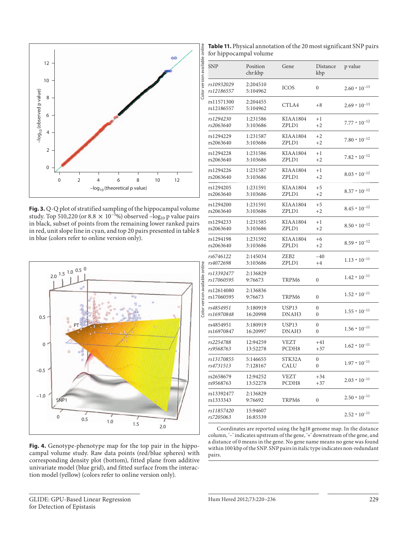

 **Fig. 3.** Q-Q plot of stratified sampling of the hippocampal volume study. Top 510,220 (or 8.8  $\times$  10<sup>-5</sup>%) observed  $-\log_{10} p$  value pairs in black, subset of points from the remaining lower ranked pairs in red, unit slope line in cyan, and top 20 pairs presented in table 8 in blue (colors refer to online version only).



 **Fig. 4.** Genotype-phenotype map for the top pair in the hippocampal volume study. Raw data points (red/blue spheres) with corresponding density plot (bottom), fitted plane from additive univariate model (blue grid), and fitted surface from the interaction model (yellow) (colors refer to online version only).

 **Table 11.** Physical annotation of the 20 most significant SNP pairs for hippocampal volume

| <b>SNP</b>               | Position<br>chr:kbp  | Gene             | Distance<br>kbp  | p value               |
|--------------------------|----------------------|------------------|------------------|-----------------------|
| rs10932029<br>rs12186557 | 2:204510<br>5:104962 | <b>ICOS</b>      | $\mathbf{0}$     | $2.60 \cdot 10^{-13}$ |
| rs11571300<br>rs12186557 | 2:204455<br>5:104962 | CTLA4            | $+8$             | $2.69 \cdot 10^{-13}$ |
| rs1294230                | 1:231586             | <b>KIAA1804</b>  | $+1$             | $7.77 \cdot 10^{-12}$ |
| rs2063640                | 3:103686             | ZPLD1            | $+2$             |                       |
| rs1294229                | 1:231587             | <b>KIAA1804</b>  | $+2$             | $7.80 \cdot 10^{-12}$ |
| rs2063640                | 3:103686             | ZPLD1            | $+2$             |                       |
| rs1294228                | 1:231586             | <b>KIAA1804</b>  | $+1$             | $7.82 \cdot 10^{-12}$ |
| rs2063640                | 3:103686             | ZPLD1            | $+2$             |                       |
| rs1294226                | 1:231587             | <b>KIAA1804</b>  | $+1$             | $8.03 \cdot 10^{-12}$ |
| rs2063640                | 3:103686             | ZPLD1            | $+2$             |                       |
| rs1294205                | 1:231591             | <b>KIAA1804</b>  | $+5$             | $8.37 \cdot 10^{-12}$ |
| rs2063640                | 3:103686             | ZPLD1            | $+2$             |                       |
| rs1294200                | 1:231591             | <b>KIAA1804</b>  | $+5$             | $8.45 \cdot 10^{-12}$ |
| rs2063640                | 3:103686             | ZPLD1            | $+2$             |                       |
| rs1294233                | 1:231585             | <b>KIAA1804</b>  | $+1$             | $8.50 \cdot 10^{-12}$ |
| rs2063640                | 3:103686             | ZPLD1            | $+2$             |                       |
| rs1294198                | 1:231592             | <b>KIAA1804</b>  | +6               | $8.59 \cdot 10^{-12}$ |
| rs2063640                | 3:103686             | ZPLD1            | $+2$             |                       |
| rs6746122                | 2:145034             | ZEB <sub>2</sub> | $-40$            | $1.13 \cdot 10^{-11}$ |
| rs4072698                | 3:103686             | ZPLD1            | $^{+4}$          |                       |
| rs13392477<br>rs17060595 | 2:136829<br>9:76673  | TRPM6            | $\mathbf{0}$     | $1.42 \cdot 10^{-11}$ |
| rs12614080<br>rs17060595 | 2:136836<br>9:76673  | TRPM6            | $\mathbf{0}$     | $1.52 \cdot 10^{-11}$ |
| rs4854951                | 3:180919             | USP13            | $\mathbf{0}$     | $1.55 \cdot 10^{-11}$ |
| rs16970848               | 16:20998             | DNAH3            | $\mathbf{0}$     |                       |
| rs4854951                | 3:180919             | USP13            | $\boldsymbol{0}$ | $1.56 \cdot 10^{-11}$ |
| rs16970847               | 16:20997             | DNAH3            | 0                |                       |
| rs2254788                | 12:94259             | <b>VEZT</b>      | $+41$            | $1.62 \cdot 10^{-11}$ |
| rs9568763                | 13:52278             | PCDH8            | $+37$            |                       |
| rs13170855               | 5:146655             | STK32A           | 0                | $1.97 \cdot 10^{-11}$ |
| rs4731513                | 7:128167             | CALU             | U                |                       |
| rs2658679                | 12:94252             | <b>VEZT</b>      | $+34$            | $2.03 \cdot 10^{-11}$ |
| rs9568763                | 13:52278             | PCDH8            | $+37$            |                       |
| rs13392477<br>rs1333343  | 2:136829<br>9:76692  | TRPM6            | $\boldsymbol{0}$ | $2.50 \cdot 10^{-11}$ |
| rs11857420<br>rs7205063  | 15:94607<br>16:85539 |                  |                  | $2.52 \cdot 10^{-11}$ |

Coordinates are reported using the hg18 genome map. In the distance column, '–' indicates upstream of the gene, '+' downstream of the gene, and a distance of 0 means in the gene. No gene name means no gene was found within 100 kbp of the SNP. SNP pairs in italic type indicates non-redundant pairs.

 GLIDE: GPU-Based Linear Regression for Detection of Epistasis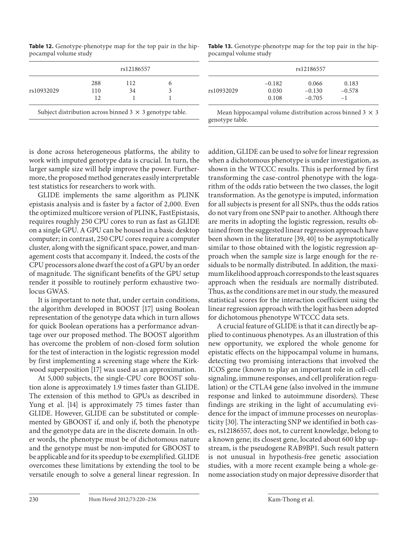|            |     | rs12186557 |   |
|------------|-----|------------|---|
|            | 288 | 112        | h |
| rs10932029 | 110 | 34         |   |
|            | 12  |            |   |

Table 12. Genotype-phenotype map for the top pair in the hip-

pocampal volume study

Table 13. Genotype-phenotype map for the top pair in the hippocampal volume study

|            | rs12186557 |          |          |
|------------|------------|----------|----------|
|            | $-0.182$   | 0.066    | 0.183    |
| rs10932029 | 0.030      | $-0.130$ | $-0.578$ |
|            | 0.108      | $-0.705$ | $-1$     |

Mean hippocampal volume distribution across binned  $3 \times 3$ genotype table.

is done across heterogeneous platforms, the ability to work with imputed genotype data is crucial. In turn, the larger sample size will help improve the power. Furthermore, the proposed method generates easily interpretable test statistics for researchers to work with.

 GLIDE implements the same algorithm as PLINK epistasis analysis and is faster by a factor of 2,000. Even the optimized multicore version of PLINK, FastEpistasis, requires roughly 250 CPU cores to run as fast as GLIDE on a single GPU. A GPU can be housed in a basic desktop computer; in contrast, 250 CPU cores require a computer cluster, along with the significant space, power, and management costs that accompany it. Indeed, the costs of the CPU processors alone dwarf the cost of a GPU by an order of magnitude. The significant benefits of the GPU setup render it possible to routinely perform exhaustive twolocus GWAS.

 It is important to note that, under certain conditions, the algorithm developed in BOOST [17] using Boolean representation of the genotype data which in turn allows for quick Boolean operations has a performance advantage over our proposed method. The BOOST algorithm has overcome the problem of non-closed form solution for the test of interaction in the logistic regression model by first implementing a screening stage where the Kirkwood superposition [17] was used as an approximation.

 At 5,000 subjects, the single-CPU core BOOST solution alone is approximately 1.9 times faster than GLIDE. The extension of this method to GPUs as described in Yung et al. [14] is approximately 75 times faster than GLIDE. However, GLIDE can be substituted or complemented by GBOOST if, and only if, both the phenotype and the genotype data are in the discrete domain. In other words, the phenotype must be of dichotomous nature and the genotype must be non-imputed for GBOOST to be applicable and for its speedup to be exemplified. GLIDE overcomes these limitations by extending the tool to be versatile enough to solve a general linear regression. In addition, GLIDE can be used to solve for linear regression when a dichotomous phenotype is under investigation, as shown in the WTCCC results. This is performed by first transforming the case-control phenotype with the logarithm of the odds ratio between the two classes, the logit transformation. As the genotype is imputed, information for all subjects is present for all SNPs, thus the odds ratios do not vary from one SNP pair to another. Although there are merits in adopting the logistic regression, results obtained from the suggested linear regression approach have been shown in the literature [39, 40] to be asymptotically similar to those obtained with the logistic regression approach when the sample size is large enough for the residuals to be normally distributed. In addition, the maximum likelihood approach corresponds to the least squares approach when the residuals are normally distributed. Thus, as the conditions are met in our study, the measured statistical scores for the interaction coefficient using the linear regression approach with the logit has been adopted for dichotomous phenotype WTCCC data sets.

 A crucial feature of GLIDE is that it can directly be applied to continuous phenotypes. As an illustration of this new opportunity, we explored the whole genome for epistatic effects on the hippocampal volume in humans, detecting two promising interactions that involved the ICOS gene (known to play an important role in cell-cell signaling, immune responses, and cell proliferation regulation) or the CTLA4 gene (also involved in the immune response and linked to autoimmune disorders). These findings are striking in the light of accumulating evidence for the impact of immune processes on neuroplasticity [30]. The interacting SNP we identified in both cases, rs12186557, does not, to current knowledge, belong to a known gene; its closest gene, located about 600 kbp upstream, is the pseudogene RAB9BP1. Such result pattern is not unusual in hypothesis-free genetic association studies, with a more recent example being a whole-genome association study on major depressive disorder that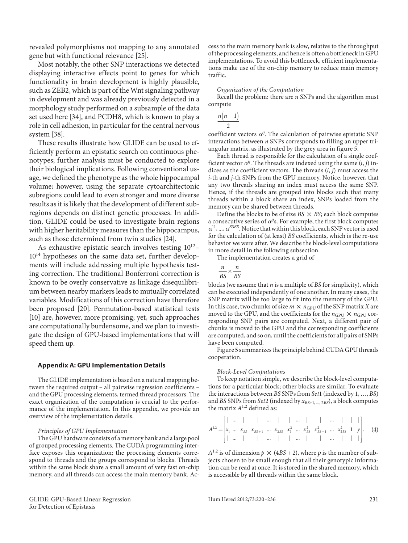revealed polymorphisms not mapping to any annotated gene but with functional relevance [25] .

 Most notably, the other SNP interactions we detected displaying interactive effects point to genes for which functionality in brain development is highly plausible, such as ZEB2, which is part of the Wnt signaling pathway in development and was already previously detected in a morphology study performed on a subsample of the data set used here [34], and PCDH8, which is known to play a role in cell adhesion, in particular for the central nervous system [38].

 These results illustrate how GLIDE can be used to efficiently perform an epistatic search on continuous phenotypes; further analysis must be conducted to explore their biological implications. Following conventional usage, we defined the phenotype as the whole hippocampal volume; however, using the separate cytoarchitectonic subregions could lead to even stronger and more diverse results as it is likely that the development of different subregions depends on distinct genetic processes. In addition, GLIDE could be used to investigate brain regions with higher heritability measures than the hippocampus, such as those determined from twin studies [24].

As exhaustive epistatic search involves testing  $10^{12}$ - $10^{14}$  hypotheses on the same data set, further developments will include addressing multiple hypothesis testing correction. The traditional Bonferroni correction is known to be overly conservative as linkage disequilibrium between nearby markers leads to mutually correlated variables. Modifications of this correction have therefore been proposed [20]. Permutation-based statistical tests [10] are, however, more promising; yet, such approaches are computationally burdensome, and we plan to investigate the design of GPU-based implementations that will speed them up.

#### **Appendix A: GPU Implementation Details**

 The GLIDE implementation is based on a natural mapping between the required output – all pairwise regression coefficients – and the GPU processing elements, termed thread processors. The exact organization of the computation is crucial to the performance of the implementation. In this appendix, we provide an overview of the implementation details.

## Principles of GPU Implementation

 The GPU hardware consists of a memory bank and a large pool of grouped processing elements. The CUDA programming interface exposes this organization; the processing elements correspond to threads and the groups correspond to blocks. Threads within the same block share a small amount of very fast on-chip memory, and all threads can access the main memory bank. Access to the main memory bank is slow, relative to the throughput of the processing elements, and hence is often a bottleneck in GPU implementations. To avoid this bottleneck, efficient implementations make use of the on-chip memory to reduce main memory traffic.

Organization of the Computation

Recall the problem: there are  $n$  SNPs and the algorithm must compute

$$
\frac{n\big(n-1\big)}{2}
$$

coefficient vectors  $\alpha^{ij}$ . The calculation of pairwise epistatic SNP interactions between n SNPs corresponds to filling an upper triangular matrix, as illustrated by the grey area in figure 5.

 Each thread is responsible for the calculation of a single coefficient vector  $\alpha^{ij}$ . The threads are indexed using the same  $(i, j)$  indices as the coefficient vectors. The threads  $(i, j)$  must access the i-th and j-th SNPs from the GPU memory. Notice, however, that any two threads sharing an index must access the same SNP. Hence, if the threads are grouped into blocks such that many threads within a block share an index, SNPs loaded from the memory can be shared between threads.

Define the blocks to be of size  $BS \times BS$ ; each block computes a consecutive series of  $\alpha^{ij}$ s. For example, the first block computes  $\alpha^{11}, \ldots, \alpha^{BSBS}$ . Notice that within this block, each SNP vector is used for the calculation of (at least) BS coefficients, which is the re-use behavior we were after. We describe the block-level computations in more detail in the following subsection.

The implementation creates a grid of

$$
\frac{n}{BS} \times \frac{n}{BS}
$$

blocks (we assume that  $n$  is a multiple of BS for simplicity), which can be executed independently of one another. In many cases, the SNP matrix will be too large to fit into the memory of the GPU. In this case, two chunks of size  $m \times n_{\text{GPU}}$  of the SNP matrix X are moved to the GPU, and the coefficients for the  $n_{\text{GPU}} \times n_{\text{GPU}}$  corresponding SNP pairs are computed. Next, a different pair of chunks is moved to the GPU and the corresponding coefficients are computed, and so on, until the coefficients for all pairs of SNPs have been computed.

 Figure 5 summarizes the principle behind CUDA GPU threads cooperation.

## Block-Level Computations

 To keep notation simple, we describe the block-level computations for a particular block; other blocks are similar. To evaluate the interactions between  $BS$  SNPs from Set1 (indexed by  $1, ..., BS$ ) and BS SNPs from Set2 (indexed by  $x_{BS+1,\ldots, 2BS}$ ), a block computes the matrix  $A^{1,2}$  defined as:

$$
A^{1,2} = \begin{bmatrix} | & \dots & | & & | & \dots & | & | & \dots & | & | & \dots & | & | & | \\ x_1 & \dots & x_{BS} & x_{BS+1} & \dots & x_{2BS} & x_1^2 & \dots & x_{BS}^2 & x_{BS+1}^2 & \dots & x_{2BS}^2 & 1 & y \\ | & \dots & | & | & \dots & | & | & \dots & | & | & \dots & | & | & | \end{bmatrix}.
$$
 (4)

 $A^{1,2}$  is of dimension  $p \times (4BS + 2)$ , where p is the number of subjects chosen to be small enough that all their genotypic information can be read at once. It is stored in the shared memory, which is accessible by all threads within the same block.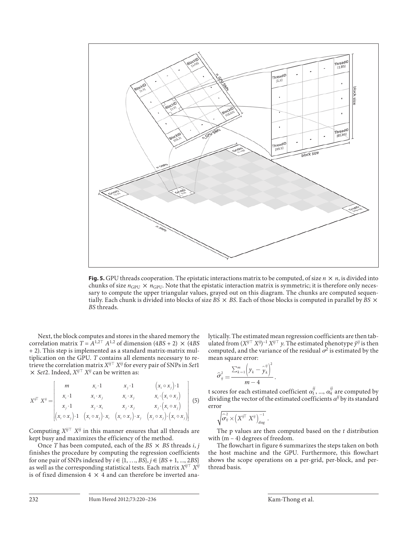

**Fig. 5.** GPU threads cooperation. The epistatic interactions matrix to be computed, of size  $n \times n$ , is divided into chunks of size  $n_{\text{GPU}} \times n_{\text{GPU}}$ . Note that the epistatic interaction matrix is symmetric; it is therefore only necessary to compute the upper triangular values, grayed out on this diagram. The chunks are computed sequentially. Each chunk is divided into blocks of size BS  $\times$  BS. Each of those blocks is computed in parallel by BS  $\times$ BS threads.

 Next, the block computes and stores in the shared memory the correlation matrix  $T = A^{1,2\top} A^{1,2}$  of dimension (4BS + 2)  $\times$  (4BS + 2). This step is implemented as a standard matrix-matrix multiplication on the GPU. T contains all elements necessary to retrieve the correlation matrix  $X^{ij\top} X^{ij}$  for every pair of SNPs in Set1  $\times$  Set2. Indeed,  $X^{ij\top} X^{ij}$  can be written as:

$$
X^{i\overline{j}} X^{ij} = \begin{bmatrix} m & x_i \cdot 1 & x_j \cdot 1 & (x_i \circ x_j) \cdot 1 \\ x_i \cdot 1 & x_i \cdot x_j & x_i \cdot x_j & x_i \cdot (x_i \circ x_j) \\ x_j \cdot 1 & x_j \cdot x_i & x_j \cdot x_j & x_j \cdot (x_i \circ x_j) \\ (x_i \circ x_j) \cdot 1 & (x_i \circ x_j) \cdot x_i & (x_i \circ x_j) \cdot x_j & (x_j \circ x_j) \cdot (x_i \circ x_j) \end{bmatrix}
$$
(5)

Computing  $X^{ij\top} X^{ij}$  in this manner ensures that all threads are kept busy and maximizes the efficiency of the method.

Once T has been computed, each of the  $BS \times BS$  threads i, j finishes the procedure by computing the regression coefficients for one pair of SNPs indexed by  $i \in \{1, ..., BS\}$ ,  $j \in \{BS + 1, ..., 2BS\}$ as well as the corresponding statistical tests. Each matrix  $X^{ij\top} X^{ij}$ is of fixed dimension  $4 \times 4$  and can therefore be inverted analytically. The estimated mean regression coefficients are then tabulated from  $(X^{ij\top} X^{ij})^{-1} X^{ij\top} y$ . The estimated phenotype  $\hat{y}^{ij}$  is then computed, and the variance of the residual  $\sigma^2$  is estimated by the mean square error:

$$
\widehat{\sigma}_{ij}^2 = \frac{\sum_{k=1}^m \left(y_k - \widehat{y}_k\right)^2}{m-4}.
$$

t scores for each estimated coefficient  $\alpha_1^{ij}, ..., \alpha_4^{ij}$  are computed by dividing the vector of the estimated coefficients  $\alpha^{ij}$  by its standard error

$$
\sqrt{\widehat{\sigma}_{ij}^2 \times \left( X^{ij\top} \; X^{ij} \right)^{-1}_{diag}} \; .
$$

The p values are then computed based on the  $t$  distribution with  $(m - 4)$  degrees of freedom.

The flowchart in figure 6 summarizes the steps taken on both the host machine and the GPU. Furthermore, this flowchart shows the scope operations on a per-grid, per-block, and perthread basis.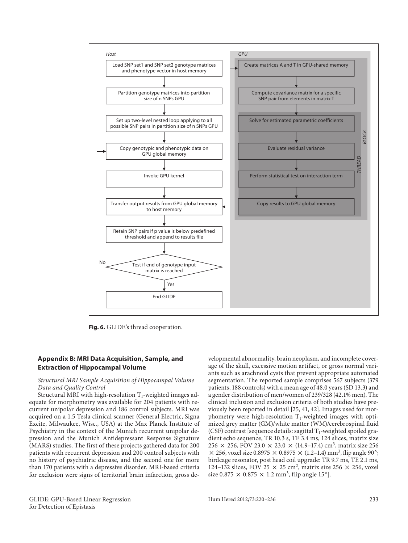

 **Fig. 6.** GLIDE's thread cooperation.

## **Appendix B: MRI Data Acquisition, Sample, and Extraction of Hippocampal Volume**

## Structural MRI Sample Acquisition of Hippocampal Volume Data and Quality Control

Structural MRI with high-resolution  $T_1$ -weighted images adequate for morphometry was available for 204 patients with recurrent unipolar depression and 186 control subjects. MRI was acquired on a 1.5 Tesla clinical scanner (General Electric, Signa Excite, Milwaukee, Wisc., USA) at the Max Planck Institute of Psychiatry in the context of the Munich recurrent unipolar depression and the Munich Antidepressant Response Signature (MARS) studies. The first of these projects gathered data for 200 patients with recurrent depression and 200 control subjects with no history of psychiatric disease, and the second one for more than 170 patients with a depressive disorder. MRI-based criteria for exclusion were signs of territorial brain infarction, gross developmental abnormality, brain neoplasm, and incomplete coverage of the skull, excessive motion artifact, or gross normal variants such as arachnoid cysts that prevent appropriate automated segmentation. The reported sample comprises 567 subjects (379 patients, 188 controls) with a mean age of 48.0 years (SD 13.3) and a gender distribution of men/women of 239/328 (42.1% men). The clinical inclusion and exclusion criteria of both studies have previously been reported in detail [25, 41, 42] . Images used for morphometry were high-resolution  $T_1$ -weighted images with optimized grey matter (GM)/white matter (WM)/cerebrospinal fluid (CSF) contrast [sequence details: sagittal  $T_1$ -weighted spoiled gradient echo sequence, TR 10.3 s, TE 3.4 ms, 124 slices, matrix size  $256 \times 256$ , FOV 23.0  $\times$  23.0  $\times$  (14.9–17.4) cm<sup>3</sup>, matrix size 256  $\times$  256, voxel size 0.8975  $\times$  0.8975  $\times$  (1.2–1.4) mm<sup>3</sup>, flip angle 90°; birdcage resonator, post head coil upgrade: TR 9.7 ms, TE 2.1 ms, 124–132 slices, FOV 25  $\times$  25 cm<sup>2</sup>, matrix size 256  $\times$  256, voxel size  $0.875 \times 0.875 \times 1.2 \text{ mm}^3$ , flip angle 15°].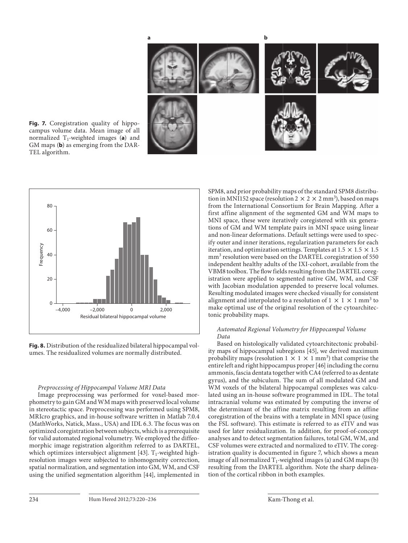

 **Fig. 7.** Coregistration quality of hippocampus volume data. Mean image of all normalized  $T_1$ -weighted images (a) and GM maps (**b**) as emerging from the DAR-TEL algorithm.



 **Fig. 8.** Distribution of the residualized bilateral hippocampal volumes. The residualized volumes are normally distributed.

## Preprocessing of Hippocampal Volume MRI Data

 Image preprocessing was performed for voxel-based morphometry to gain GM and WM maps with preserved local volume in stereotactic space. Preprocessing was performed using SPM8, MRIcro graphics, and in-house software written in Matlab 7.0.4 (MathWorks, Natick, Mass., USA) and IDL 6.3. The focus was on optimized coregistration between subjects, which is a prerequisite for valid automated regional volumetry. We employed the diffeomorphic image registration algorithm referred to as DARTEL, which optimizes intersubject alignment [43].  $T_1$ -weighted highresolution images were subjected to inhomogeneity correction, spatial normalization, and segmentation into GM, WM, and CSF using the unified segmentation algorithm [44], implemented in

SPM8, and prior probability maps of the standard SPM8 distribution in MNI152 space (resolution  $2 \times 2 \times 2$  mm<sup>3</sup>), based on maps from the International Consortium for Brain Mapping. After a first affine alignment of the segmented GM and WM maps to MNI space, these were iteratively coregistered with six generations of GM and WM template pairs in MNI space using linear and non-linear deformations. Default settings were used to specify outer and inner iterations, regularization parameters for each iteration, and optimization settings. Templates at 1.5  $\times$  1.5  $\times$  1.5 mm<sup>3</sup> resolution were based on the DARTEL coregistration of 550 independent healthy adults of the IXI-cohort, available from the VBM8 toolbox. The flow fields resulting from the DARTEL coregistration were applied to segmented native GM, WM, and CSF with Jacobian modulation appended to preserve local volumes. Resulting modulated images were checked visually for consistent alignment and interpolated to a resolution of  $1 \times 1 \times 1$  mm<sup>3</sup> to make optimal use of the original resolution of the cytoarchitectonic probability maps.

## Automated Regional Volumetry for Hippocampal Volume Data

 Based on histologically validated cytoarchitectonic probability maps of hippocampal subregions [45] , we derived maximum probability maps (resolution  $1 \times 1 \times 1$  mm<sup>3</sup>) that comprise the entire left and right hippocampus proper [46] including the cornu ammonis, fascia dentata together with CA4 (referred to as dentate gyrus), and the subiculum. The sum of all modulated GM and WM voxels of the bilateral hippocampal complexes was calculated using an in-house software programmed in IDL. The total intracranial volume was estimated by computing the inverse of the determinant of the affine matrix resulting from an affine coregistration of the brains with a template in MNI space (using the FSL software). This estimate is referred to as eTIV and was used for later residualization. In addition, for proof-of-concept analyses and to detect segmentation failures, total GM, WM, and CSF volumes were extracted and normalized to eTIV. The coregistration quality is documented in figure 7, which shows a mean image of all normalized  $T_1$ -weighted images (a) and GM maps (b) resulting from the DARTEL algorithm. Note the sharp delineation of the cortical ribbon in both examples.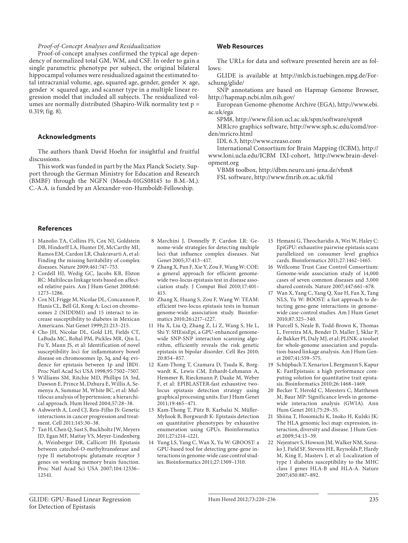#### Proof-of-Concept Analyses and Residualization

 Proof-of-concept analyses confirmed the typical age dependency of normalized total GM, WM, and CSF. In order to gain a single parametric phenotype per subject, the original bilateral hippocampal volumes were residualized against the estimated total intracranial volume, age, squared age, gender, gender  $\times$  age, gender  $\times$  squared age, and scanner type in a multiple linear regression model that included all subjects. The residualized volumes are normally distributed (Shapiro-Wilk normality test  $p =$  $0.319;$  fig. 8).

## **Acknowledgments**

 The authors thank David Hoehn for insightful and fruitful discussions.

 This work was funded in part by the Max Planck Society. Support through the German Ministry for Education and Research (BMBF) through the NGFN (Moods-01GS08145 to B.M.-M.). C.-A.A. is funded by an Alexander-von-Humboldt-Fellowship.

## **Web Resources**

 The URLs for data and software presented herein are as follows:

 GLIDE is available at http://mlcb.is.tuebingen.mpg.de/Forschung/glide/

 SNP annotations are based on Hapmap Genome Browser, http://hapmap.ncbi.nlm.nih.gov/

 European Genome-phenome Archive (EGA), http://www.ebi. ac.uk/ega

SPM8, http://www.fil.ion.ucl.ac.uk/spm/software/spm8

 MRIcro graphics software, http://www.sph.sc.edu/comd/rorden/mricro.html

IDL 6.3, http://www.creaso.com

 International Consortium for Brain Mapping (ICBM), http:// www.loni.ucla.edu/ICBM IXI-cohort, http://www.brain-development.org

 VBM8 toolbox, http://dbm.neuro.uni-jena.de/vbm8 FSL software, http://www.fmrib.ox.ac.uk/fsl

#### **References**

- 1 Manolio TA, Collins FS, Cox NJ, Goldstein DB, Hindorff LA, Hunter DJ, McCarthy MI, Ramos EM, Cardon LR, Chakravarti A, et al: Finding the missing heritability of complex diseases. Nature 2009;461:747-753.
- 2 Cordell HJ, Wedig GC, Jacobs KB, Elston RC: Multilocus linkage tests based on affected relative pairs. Am J Hum Genet 2000;66: 1273–1286.
- 3 Cox NJ, Frigge M, Nicolae DL, Concannon P, Hanis CL, Bell GI, Kong A: Loci on chromosomes 2 (NIDDM1) and 15 interact to increase susceptibility to diabetes in Mexican Americans. Nat Genet 1999;21:213-215.
- 4 Cho JH, Nicolae DL, Gold LH, Fields CT, LaBuda MC, Rohal PM, Pickles MR, Qin L, Fu Y, Mann JS, et al: Identification of novel susceptibility loci for inflammatory bowel disease on chromosomes 1p, 3q, and 4q: evidence for epistasis between 1p and IBD1. Proc Natl Acad Sci USA 1998;95:7502-7507.
- 5 Williams SM, Ritchie MD, Phillips JA 3rd, Dawson E, Prince M, Dzhura E, Willis A, Semenya A, Summar M, White BC, et al: Multilocus analysis of hypertension: a hierarchical approach. Hum Hered 2004;57:28-38.
- 6 Ashworth A, Lord CJ, Reis-Filho JS: Genetic interactions in cancer progression and treatment. Cell 2011; 145: 30–38.
- 7 Tan H, Chen Q, Sust S, Buckholtz JW, Meyers JD, Egan MF, Mattay VS, Meyer-Lindenberg A, Weinberger DR, Callicott JH: Epistasis between catechol-O-methyltransferase and type II metabotropic glutamate receptor 3 genes on working memory brain function. Proc Natl Acad Sci USA 2007; 104: 12536– 12541.
- 8 Marchini J, Donnelly P, Cardon LR: Genome-wide strategies for detecting multiple loci that influence complex diseases. Nat Genet 2005;37:413-417.
- 9 Zhang X, Pan F, Xie Y, Zou F, Wang W: COE: a general approach for efficient genomewide two-locus epistasis test in disease association study. J Comput Biol 2010;17:401-415.
- 10 Zhang X, Huang S, Zou F, Wang W: TEAM: efficient two-locus epistasis tests in human genome-wide association study. Bioinformatics 2010; 26:i217–i227.
- 11 Hu X, Liu Q, Zhang Z, Li Z, Wang S, He L, Shi Y: SHEsisEpi, a GPU-enhanced genomewide SNP-SNP interaction scanning algorithm, efficiently reveals the risk genetic epistasis in bipolar disorder. Cell Res 2010; 20: 854–857.
- 12 Kam-Thong T, Czamara D, Tsuda K, Borgwardt K, Lewis CM, Erhardt-Lehmann A, Hemmer B, Rieckmann P, Daake M, Weber F, et al: EPIBLASTER-fast exhaustive twolocus epistasis detection strategy using graphical processing units. Eur J Hum Genet 2011; 19: 465–471.
- 13 Kam-Thong T, Pütz B, Karbalai N, Müller-Myhsok B, Borgwardt K: Epistasis detection on quantitative phenotypes by exhaustive enumeration using GPUs. Bioinformatics 2011; 27:i214–i221.
- 14 Yung LS, Yang C, Wan X, Yu W: GBOOST: a GPU-based tool for detecting gene-gene interactions in genome-wide case control studies. Bioinformatics 2011; 27: 1309–1310.
- 15 Hemani G, Theocharidis A, Wei W, Haley C: EpiGPU: exhaustive pairwise epistasis scans parallelized on consumer level graphics cards. Bioinformatics 2011; 27: 1462–1465.
- 16 Wellcome Trust Case Control Consortium: Genome-wide association study of 14,000 cases of seven common diseases and 3,000 shared controls. Nature 2007;447:661-678.
- 17 Wan X, Yang C, Yang Q, Xue H, Fan X, Tang NLS, Yu W: BOOST: a fast approach to detecting gene-gene interactions in genomewide case-control studies. Am J Hum Genet 2010; 87: 325–340.
- 18 Purcell S, Neale B, Todd-Brown K, Thomas L, Ferreira MA, Bender D, Maller J, Sklar P, de Bakker PI, Daly MJ, et al: PLINK: a toolset for whole-genome association and population-based linkage analysis. Am J Hum Genet 2007;41:559-575.
- 19 Schüpbach T, Xenarios I, Bergmann S, Kapur K: FastEpistasis: a high performance computing solution for quantitative trait epistasis. Bioinformatics 2010; 26: 1468–1469.
- 20 Becker T, Herold C, Meesters C, Matthesen M, Baur MP: Significance levels in genomewide interaction analysis (GWIA). Ann Hum Genet 2011;75:29-35.
- 21 Shiina T, Hosomichi K, Inoko H, Kulski JK: The HLA genomic loci map: expression, interaction, diversity and disease. J Hum Genet 2009; 54: 15–39.
- 22 Nejentsev S, Howson JM, Walker NM, Szeszko J, Field SF, Stevens HE, Reynolds P, Hardy M, King E, Masters J, et al: Localization of type 1 diabetes susceptibility to the MHC class I genes HLA-B and HLA-A. Nature 2007; 450: 887–892.